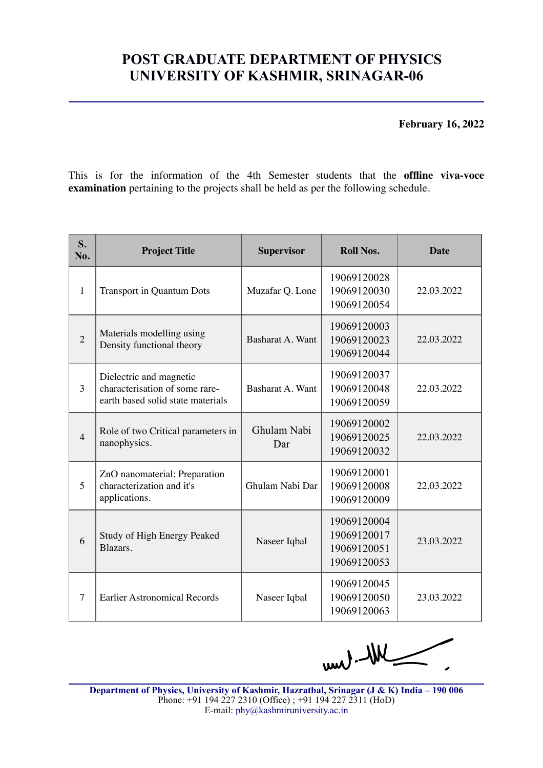## **POST GRADUATE DEPARTMENT OF PHYSICS UNIVERSITY OF KASHMIR, SRINAGAR-06**

**February 16, 2022**

This is for the information of the 4th Semester students that the **offline viva-voce examination** pertaining to the projects shall be held as per the following schedule.

| S.<br>No.      | <b>Project Title</b>                                                                           | <b>Supervisor</b>       | <b>Roll Nos.</b>                                         | <b>Date</b> |
|----------------|------------------------------------------------------------------------------------------------|-------------------------|----------------------------------------------------------|-------------|
| $\mathbf{1}$   | <b>Transport in Quantum Dots</b>                                                               | Muzafar Q. Lone         | 19069120028<br>19069120030<br>19069120054                | 22.03.2022  |
| $\overline{2}$ | Materials modelling using<br>Density functional theory                                         | Basharat A. Want        | 19069120003<br>19069120023<br>19069120044                | 22.03.2022  |
| 3              | Dielectric and magnetic<br>characterisation of some rare-<br>earth based solid state materials | <b>Basharat A. Want</b> | 19069120037<br>19069120048<br>19069120059                | 22.03.2022  |
| $\overline{4}$ | Role of two Critical parameters in<br>nanophysics.                                             | Ghulam Nabi<br>Dar      | 19069120002<br>19069120025<br>19069120032                | 22.03.2022  |
| 5              | ZnO nanomaterial: Preparation<br>characterization and it's<br>applications.                    | Ghulam Nabi Dar         | 19069120001<br>19069120008<br>19069120009                | 22.03.2022  |
| 6              | Study of High Energy Peaked<br>Blazars.                                                        | Naseer Iqbal            | 19069120004<br>19069120017<br>19069120051<br>19069120053 | 23.03.2022  |
| $\overline{7}$ | <b>Earlier Astronomical Records</b>                                                            | Naseer Iqbal            | 19069120045<br>19069120050<br>19069120063                | 23.03.2022  |

WK-lun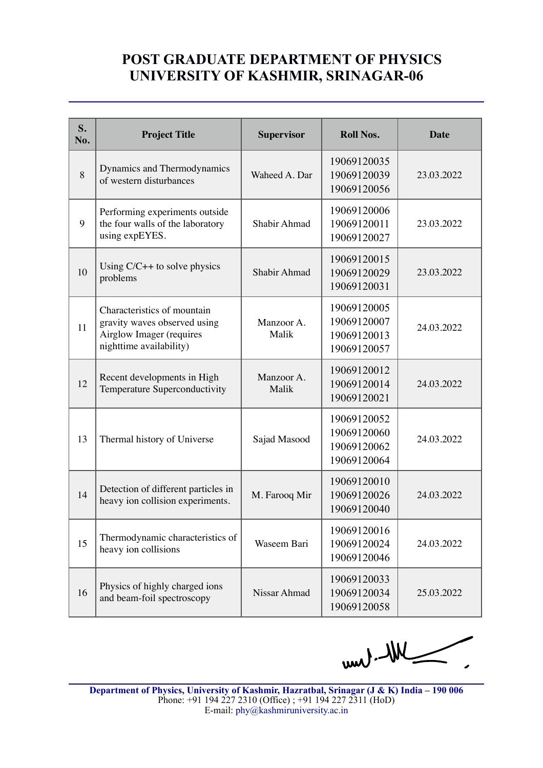## **POST GRADUATE DEPARTMENT OF PHYSICS UNIVERSITY OF KASHMIR, SRINAGAR-06**

| S.<br>No. | <b>Project Title</b>                                                                                               | <b>Supervisor</b>   | <b>Roll Nos.</b>                                         | <b>Date</b> |
|-----------|--------------------------------------------------------------------------------------------------------------------|---------------------|----------------------------------------------------------|-------------|
| 8         | Dynamics and Thermodynamics<br>of western disturbances                                                             | Waheed A. Dar       | 19069120035<br>19069120039<br>19069120056                | 23.03.2022  |
| 9         | Performing experiments outside<br>the four walls of the laboratory<br>using expEYES.                               | Shabir Ahmad        | 19069120006<br>19069120011<br>19069120027                | 23.03.2022  |
| 10        | Using $C/C++$ to solve physics<br>problems                                                                         | Shabir Ahmad        | 19069120015<br>19069120029<br>19069120031                | 23.03.2022  |
| 11        | Characteristics of mountain<br>gravity waves observed using<br>Airglow Imager (requires<br>nighttime availability) | Manzoor A.<br>Malik | 19069120005<br>19069120007<br>19069120013<br>19069120057 | 24.03.2022  |
| 12        | Recent developments in High<br>Temperature Superconductivity                                                       | Manzoor A.<br>Malik | 19069120012<br>19069120014<br>19069120021                | 24.03.2022  |
| 13        | Thermal history of Universe                                                                                        | Sajad Masood        | 19069120052<br>19069120060<br>19069120062<br>19069120064 | 24.03.2022  |
| 14        | Detection of different particles in<br>heavy ion collision experiments.                                            | M. Farooq Mir       | 19069120010<br>19069120026<br>19069120040                | 24.03.2022  |
| 15        | Thermodynamic characteristics of<br>heavy ion collisions                                                           | Waseem Bari         | 19069120016<br>19069120024<br>19069120046                | 24.03.2022  |
| 16        | Physics of highly charged ions<br>and beam-foil spectroscopy                                                       | Nissar Ahmad        | 19069120033<br>19069120034<br>19069120058                | 25.03.2022  |

 $-40 - 100$